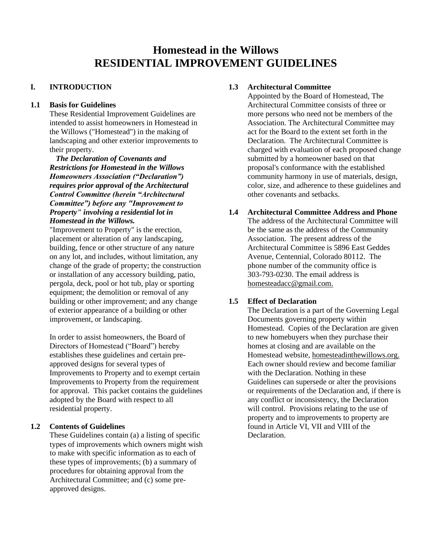# **Homestead in the Willows RESIDENTIAL IMPROVEMENT GUIDELINES**

# **I. INTRODUCTION**

# **1.1 Basis for Guidelines**

These Residential Improvement Guidelines are intended to assist homeowners in Homestead in the Willows ("Homestead") in the making of landscaping and other exterior improvements to their property.

*The Declaration of Covenants and Restrictions for Homestead in the Willows Homeowners Association ("Declaration") requires prior approval of the Architectural Control Committee (herein "Architectural Committee") before any "Improvement to Property" involving a residential lot in Homestead in the Willows.* 

"Improvement to Property" is the erection, placement or alteration of any landscaping, building, fence or other structure of any nature on any lot, and includes, without limitation, any change of the grade of property; the construction or installation of any accessory building, patio, pergola, deck, pool or hot tub, play or sporting equipment: the demolition or removal of any building or other improvement; and any change of exterior appearance of a building or other improvement, or landscaping.

In order to assist homeowners, the Board of Directors of Homestead ("Board") hereby establishes these guidelines and certain preapproved designs for several types of Improvements to Property and to exempt certain Improvements to Property from the requirement for approval. This packet contains the guidelines adopted by the Board with respect to all residential property.

# **1.2 Contents of Guidelines**

These Guidelines contain (a) a listing of specific types of improvements which owners might wish to make with specific information as to each of these types of improvements; (b) a summary of procedures for obtaining approval from the Architectural Committee; and (c) some preapproved designs.

# **1.3 Architectural Committee**

Appointed by the Board of Homestead, The Architectural Committee consists of three or more persons who need not be members of the Association. The Architectural Committee may act for the Board to the extent set forth in the Declaration. The Architectural Committee is charged with evaluation of each proposed change submitted by a homeowner based on that proposal's conformance with the established community harmony in use of materials, design, color, size, and adherence to these guidelines and other covenants and setbacks.

# **1.4 Architectural Committee Address and Phone**

The address of the Architectural Committee will be the same as the address of the Community Association. The present address of the Architectural Committee is 5896 East Geddes Avenue, Centennial, Colorado 80112. The phone number of the community office is 303-793-0230. The email address is [homesteadacc@gmail.com.](mailto:homesteadacc@gmail.com)

# **1.5 Effect of Declaration**

The Declaration is a part of the Governing Legal Documents governing property within Homestead. Copies of the Declaration are given to new homebuyers when they purchase their homes at closing and are available on the Homestead website, homesteadinthewillows.org. Each owner should review and become familiar with the Declaration. Nothing in these Guidelines can supersede or alter the provisions or requirements of the Declaration and, if there is any conflict or inconsistency, the Declaration will control. Provisions relating to the use of property and to improvements to property are found in Article VI, VII and VIII of the Declaration.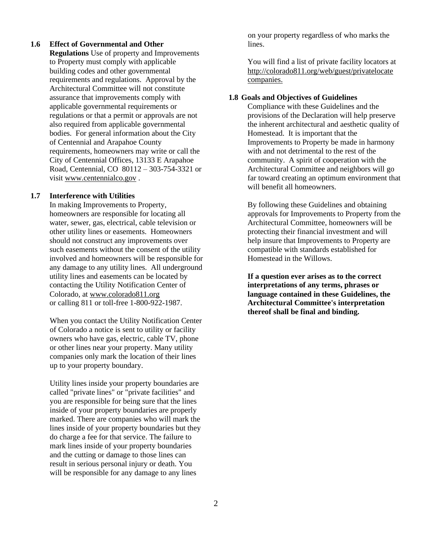### **1.6 Effect of Governmental and Other**

**Regulations** Use of property and Improvements to Property must comply with applicable building codes and other governmental requirements and regulations. Approval by the Architectural Committee will not constitute assurance that improvements comply with applicable governmental requirements or regulations or that a permit or approvals are not also required from applicable governmental bodies. For general information about the City of Centennial and Arapahoe County requirements, homeowners may write or call the City of Centennial Offices, 13133 E Arapahoe Road, Centennial, CO 80112 – 303-754-3321 or visit [www.centennialco.gov](http://www.centennialco.gov/) .

### **1.7 Interference with Utilities**

In making Improvements to Property, homeowners are responsible for locating all water, sewer, gas, electrical, cable television or other utility lines or easements. Homeowners should not construct any improvements over such easements without the consent of the utility involved and homeowners will be responsible for any damage to any utility lines. All underground utility lines and easements can be located by contacting the Utility Notification Center of Colorado, at [www.colorado811.org](http://www.colorado811.org/) or calling 811 or toll-free 1-800-922-1987.

When you contact the Utility Notification Center of Colorado a notice is sent to utility or facility owners who have gas, electric, cable TV, phone or other lines near your property. Many utility companies only mark the location of their lines up to your property boundary.

Utility lines inside your property boundaries are called "private lines" or "private facilities" and you are responsible for being sure that the lines inside of your property boundaries are properly marked. There are companies who will mark the lines inside of your property boundaries but they do charge a fee for that service. The failure to mark lines inside of your property boundaries and the cutting or damage to those lines can result in serious personal injury or death. You will be responsible for any damage to any lines

on your property regardless of who marks the lines.

You will find a list of private facility locators at <http://colorado811.org/web/guest/privatelocate> companies.

# **1.8 Goals and Objectives of Guidelines**

 Compliance with these Guidelines and the provisions of the Declaration will help preserve the inherent architectural and aesthetic quality of Homestead. It is important that the Improvements to Property be made in harmony with and not detrimental to the rest of the community. A spirit of cooperation with the Architectural Committee and neighbors will go far toward creating an optimum environment that will benefit all homeowners.

By following these Guidelines and obtaining approvals for Improvements to Property from the Architectural Committee, homeowners will be protecting their financial investment and will help insure that Improvements to Property are compatible with standards established for Homestead in the Willows.

**If a question ever arises as to the correct interpretations of any terms, phrases or language contained in these Guidelines, the Architectural Committee's interpretation thereof shall be final and binding.**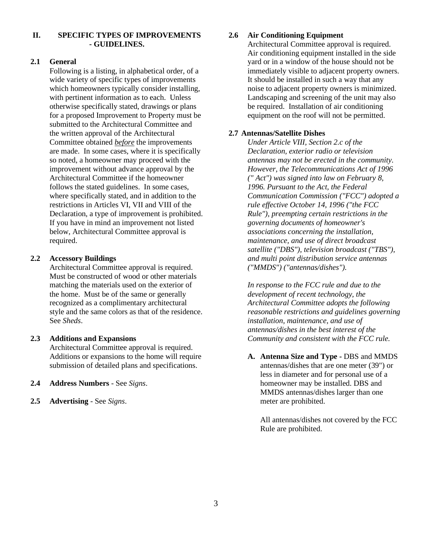# **II. SPECIFIC TYPES OF IMPROVEMENTS - GUIDELINES.**

# **2.1 General**

Following is a listing, in alphabetical order, of a wide variety of specific types of improvements which homeowners typically consider installing, with pertinent information as to each. Unless otherwise specifically stated, drawings or plans for a proposed Improvement to Property must be submitted to the Architectural Committee and the written approval of the Architectural Committee obtained *before* the improvements are made. In some cases, where it is specifically so noted, a homeowner may proceed with the improvement without advance approval by the Architectural Committee if the homeowner follows the stated guidelines. In some cases, where specifically stated, and in addition to the restrictions in Articles VI, VII and VIII of the Declaration, a type of improvement is prohibited. If you have in mind an improvement not listed below, Architectural Committee approval is required.

# **2.2 Accessory Buildings**

Architectural Committee approval is required. Must be constructed of wood or other materials matching the materials used on the exterior of the home. Must be of the same or generally recognized as a complimentary architectural style and the same colors as that of the residence. See *Sheds*.

### **2.3 Additions and Expansions**

Architectural Committee approval is required. Additions or expansions to the home will require submission of detailed plans and specifications.

- **2.4 Address Numbers** See *Signs*.
- **2.5 Advertising** See *Signs*.

# **2.6 Air Conditioning Equipment**

Architectural Committee approval is required. Air conditioning equipment installed in the side yard or in a window of the house should not be immediately visible to adjacent property owners. It should be installed in such a way that any noise to adjacent property owners is minimized. Landscaping and screening of the unit may also be required. Installation of air conditioning equipment on the roof will not be permitted.

# **2.7 Antennas/Satellite Dishes**

*Under Article VIII, Section 2.c of the Declaration, exterior radio or television antennas may not be erected in the community. However, the Telecommunications Act of 1996 (" Act") was signed into law on February 8, 1996. Pursuant to the Act, the Federal Communication Commission ("FCC") adopted a rule effective October 14, 1996 ("the FCC Rule"), preempting certain restrictions in the governing documents of homeowner's associations concerning the installation, maintenance, and use of direct broadcast satellite ("DBS"), television broadcast ("TBS"), and multi point distribution service antennas ("MMDS") ("antennas/dishes").*

*In response to the FCC rule and due to the development of recent technology, the Architectural Committee adopts the following reasonable restrictions and guidelines governing installation, maintenance, and use of antennas/dishes in the best interest of the Community and consistent with the FCC rule.*

**A. Antenna Size and Type -** DBS and MMDS antennas/dishes that are one meter (39") or less in diameter and for personal use of a homeowner may be installed. DBS and MMDS antennas/dishes larger than one meter are prohibited.

All antennas/dishes not covered by the FCC Rule are prohibited.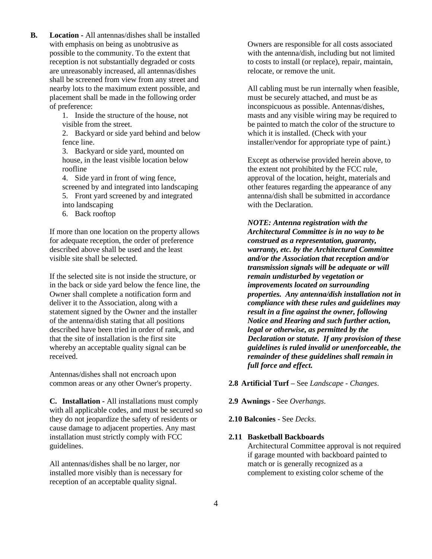**B. Location -** All antennas/dishes shall be installed with emphasis on being as unobtrusive as possible to the community. To the extent that reception is not substantially degraded or costs are unreasonably increased, all antennas/dishes shall be screened from view from any street and nearby lots to the maximum extent possible, and placement shall be made in the following order of preference:

> 1. Inside the structure of the house, not visible from the street.

2. Backyard or side yard behind and below fence line.

3. Backyard or side yard, mounted on house, in the least visible location below roofline

4. Side yard in front of wing fence, screened by and integrated into landscaping 5. Front yard screened by and integrated into landscaping

6. Back rooftop

If more than one location on the property allows for adequate reception, the order of preference described above shall be used and the least visible site shall be selected.

If the selected site is not inside the structure, or in the back or side yard below the fence line, the Owner shall complete a notification form and deliver it to the Association, along with a statement signed by the Owner and the installer of the antenna/dish stating that all positions described have been tried in order of rank, and that the site of installation is the first site whereby an acceptable quality signal can be received.

Antennas/dishes shall not encroach upon common areas or any other Owner's property.

**C. Installation -** All installations must comply with all applicable codes, and must be secured so they do not jeopardize the safety of residents or cause damage to adjacent properties. Any mast installation must strictly comply with FCC guidelines.

All antennas/dishes shall be no larger, nor installed more visibly than is necessary for reception of an acceptable quality signal.

Owners are responsible for all costs associated with the antenna/dish, including but not limited to costs to install (or replace), repair, maintain, relocate, or remove the unit.

All cabling must be run internally when feasible, must be securely attached, and must be as inconspicuous as possible. Antennas/dishes, masts and any visible wiring may be required to be painted to match the color of the structure to which it is installed. (Check with your installer/vendor for appropriate type of paint.)

Except as otherwise provided herein above, to the extent not prohibited by the FCC rule, approval of the location, height, materials and other features regarding the appearance of any antenna/dish shall be submitted in accordance with the Declaration.

*NOTE: Antenna registration with the Architectural Committee is in no way to be construed as a representation, guaranty, warranty, etc. by the Architectural Committee and/or the Association that reception and/or transmission signals will be adequate or will remain undisturbed by vegetation or improvements located on surrounding properties. Any antenna/dish installation not in compliance with these rules and guidelines may result in a fine against the owner, following Notice and Hearing and such further action, legal or otherwise, as permitted by the Declaration or statute. If any provision of these guidelines is ruled invalid or unenforceable, the remainder of these guidelines shall remain in full force and effect.*

### **2.8 Artificial Turf –** See *Landscape - Changes*.

**2.9 Awnings** - See *Overhangs*.

**2.10 Balconies** - See *Decks*.

# **2.11 Basketball Backboards**

Architectural Committee approval is not required if garage mounted with backboard painted to match or is generally recognized as a complement to existing color scheme of the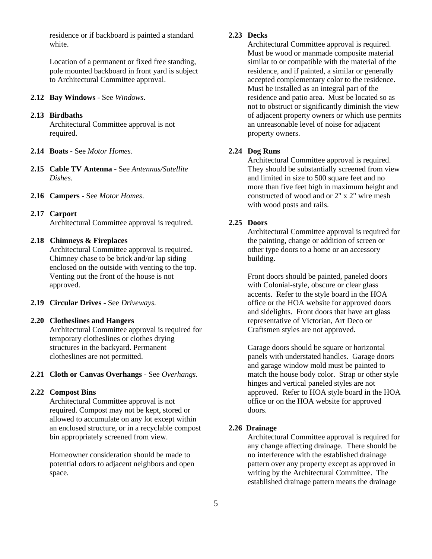residence or if backboard is painted a standard white.

Location of a permanent or fixed free standing, pole mounted backboard in front yard is subject to Architectural Committee approval.

- **2.12 Bay Windows** See *Windows*.
- **2.13 Birdbaths**

Architectural Committee approval is not required.

- **2.14 Boats** See *Motor Homes.*
- **2.15 Cable TV Antenna** See *Antennas/Satellite Dishes.*
- **2.16 Campers** See *Motor Homes*.
- **2.17 Carport**

Architectural Committee approval is required.

### **2.18 Chimneys & Fireplaces**

Architectural Committee approval is required. Chimney chase to be brick and/or lap siding enclosed on the outside with venting to the top. Venting out the front of the house is not approved.

**2.19 Circular Drives** - See *Driveways.*

#### **2.20 Clotheslines and Hangers**

Architectural Committee approval is required for temporary clotheslines or clothes drying structures in the backyard. Permanent clotheslines are not permitted.

### **2.21 Cloth or Canvas Overhangs** - See *Overhangs.*

# **2.22 Compost Bins**

Architectural Committee approval is not required. Compost may not be kept, stored or allowed to accumulate on any lot except within an enclosed structure, or in a recyclable compost bin appropriately screened from view.

Homeowner consideration should be made to potential odors to adjacent neighbors and open space.

# **2.23 Decks**

Architectural Committee approval is required. Must be wood or manmade composite material similar to or compatible with the material of the residence, and if painted, a similar or generally accepted complementary color to the residence. Must be installed as an integral part of the residence and patio area. Must be located so as not to obstruct or significantly diminish the view of adjacent property owners or which use permits an unreasonable level of noise for adjacent property owners.

### **2.24 Dog Runs**

Architectural Committee approval is required. They should be substantially screened from view and limited in size to 500 square feet and no more than five feet high in maximum height and constructed of wood and or 2" x 2" wire mesh with wood posts and rails.

### **2.25 Doors**

Architectural Committee approval is required for the painting, change or addition of screen or other type doors to a home or an accessory building.

Front doors should be painted, paneled doors with Colonial-style, obscure or clear glass accents. Refer to the style board in the HOA office or the HOA website for approved doors and sidelights. Front doors that have art glass representative of Victorian, Art Deco or Craftsmen styles are not approved.

Garage doors should be square or horizontal panels with understated handles. Garage doors and garage window mold must be painted to match the house body color. Strap or other style hinges and vertical paneled styles are not approved. Refer to HOA style board in the HOA office or on the HOA website for approved doors.

### **2.26 Drainage**

Architectural Committee approval is required for any change affecting drainage. There should be no interference with the established drainage pattern over any property except as approved in writing by the Architectural Committee. The established drainage pattern means the drainage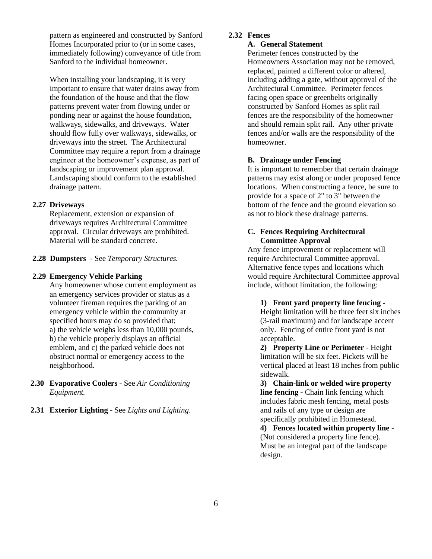pattern as engineered and constructed by Sanford Homes Incorporated prior to (or in some cases, immediately following) conveyance of title from Sanford to the individual homeowner.

When installing your landscaping, it is very important to ensure that water drains away from the foundation of the house and that the flow patterns prevent water from flowing under or ponding near or against the house foundation, walkways, sidewalks, and driveways. Water should flow fully over walkways, sidewalks, or driveways into the street. The Architectural Committee may require a report from a drainage engineer at the homeowner's expense, as part of landscaping or improvement plan approval. Landscaping should conform to the established drainage pattern.

### **2.27 Driveways**

Replacement, extension or expansion of driveways requires Architectural Committee approval. Circular driveways are prohibited. Material will be standard concrete.

### **2.28 Dumpsters** - See *Temporary Structures.*

# **2.29 Emergency Vehicle Parking**

Any homeowner whose current employment as an emergency services provider or status as a volunteer fireman requires the parking of an emergency vehicle within the community at specified hours may do so provided that; a) the vehicle weighs less than 10,000 pounds, b) the vehicle properly displays an official emblem, and c) the parked vehicle does not obstruct normal or emergency access to the neighborhood.

- **2.30 Evaporative Coolers** See *Air Conditioning Equipment.*
- **2.31 Exterior Lighting** See *Lights and Lighting*.

# **2.32 Fences**

### **A. General Statement**

Perimeter fences constructed by the Homeowners Association may not be removed, replaced, painted a different color or altered, including adding a gate, without approval of the Architectural Committee. Perimeter fences facing open space or greenbelts originally constructed by Sanford Homes as split rail fences are the responsibility of the homeowner and should remain split rail. Any other private fences and/or walls are the responsibility of the homeowner.

### **B. Drainage under Fencing**

It is important to remember that certain drainage patterns may exist along or under proposed fence locations. When constructing a fence, be sure to provide for a space of 2" to 3" between the bottom of the fence and the ground elevation so as not to block these drainage patterns.

# **C. Fences Requiring Architectural Committee Approval**

Any fence improvement or replacement will require Architectural Committee approval. Alternative fence types and locations which would require Architectural Committee approval include, without limitation, the following:

**1) Front yard property line fencing** -

Height limitation will be three feet six inches (3-rail maximum) and for landscape accent only. Fencing of entire front yard is not acceptable.

**2) Property Line or Perimeter** - Height limitation will be six feet. Pickets will be vertical placed at least 18 inches from public sidewalk.

**3) Chain-link or welded wire property line fencing -** Chain link fencing which includes fabric mesh fencing, metal posts and rails of any type or design are specifically prohibited in Homestead.

**4) Fences located within property line** - (Not considered a property line fence). Must be an integral part of the landscape design.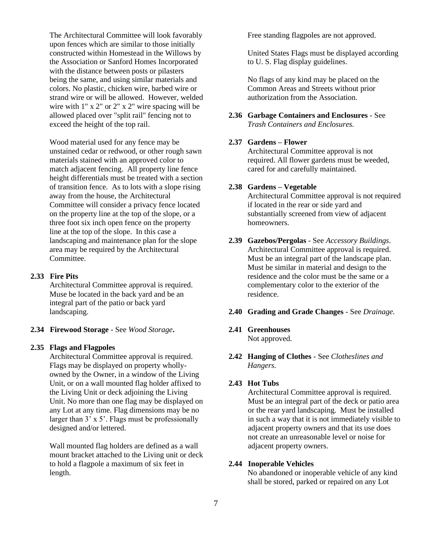The Architectural Committee will look favorably upon fences which are similar to those initially constructed within Homestead in the Willows by the Association or Sanford Homes Incorporated with the distance between posts or pilasters being the same, and using similar materials and colors. No plastic, chicken wire, barbed wire or strand wire or will be allowed. However, welded wire with 1" x 2" or 2" x 2" wire spacing will be allowed placed over "split rail" fencing not to exceed the height of the top rail.

Wood material used for any fence may be unstained cedar or redwood, or other rough sawn materials stained with an approved color to match adjacent fencing. All property line fence height differentials must be treated with a section of transition fence. As to lots with a slope rising away from the house, the Architectural Committee will consider a privacy fence located on the property line at the top of the slope, or a three foot six inch open fence on the property line at the top of the slope. In this case a landscaping and maintenance plan for the slope area may be required by the Architectural Committee.

# **2.33 Fire Pits**

Architectural Committee approval is required. Muse be located in the back yard and be an integral part of the patio or back yard landscaping.

# **2.34 Firewood Storage** - See *Wood Storage***.**

### **2.35 Flags and Flagpoles**

Architectural Committee approval is required. Flags may be displayed on property whollyowned by the Owner, in a window of the Living Unit, or on a wall mounted flag holder affixed to the Living Unit or deck adjoining the Living Unit. No more than one flag may be displayed on any Lot at any time. Flag dimensions may be no larger than 3' x 5'. Flags must be professionally designed and/or lettered.

Wall mounted flag holders are defined as a wall mount bracket attached to the Living unit or deck to hold a flagpole a maximum of six feet in length.

Free standing flagpoles are not approved.

United States Flags must be displayed according to U. S. Flag display guidelines.

No flags of any kind may be placed on the Common Areas and Streets without prior authorization from the Association.

# **2.36 Garbage Containers and Enclosures** - See *Trash Containers and Enclosures.*

# **2.37 Gardens – Flower**

Architectural Committee approval is not required. All flower gardens must be weeded, cared for and carefully maintained.

# **2.38 Gardens – Vegetable**

Architectural Committee approval is not required if located in the rear or side yard and substantially screened from view of adjacent homeowners.

**2.39 Gazebos/Pergolas** - See *Accessory Buildings*. Architectural Committee approval is required. Must be an integral part of the landscape plan. Must be similar in material and design to the residence and the color must be the same or a complementary color to the exterior of the residence.

# **2.40 Grading and Grade Changes** - See *Drainage.*

# **2.41 Greenhouses**

Not approved.

**2.42 Hanging of Clothes** - See *Clotheslines and Hangers.*

### **2.43 Hot Tubs**

Architectural Committee approval is required. Must be an integral part of the deck or patio area or the rear yard landscaping. Must be installed in such a way that it is not immediately visible to adjacent property owners and that its use does not create an unreasonable level or noise for adjacent property owners.

### **2.44 Inoperable Vehicles**

No abandoned or inoperable vehicle of any kind shall be stored, parked or repaired on any Lot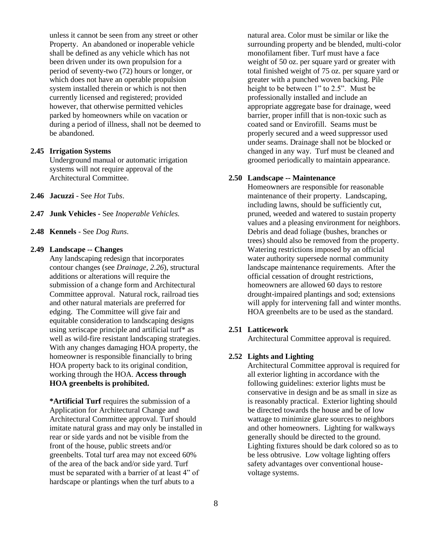unless it cannot be seen from any street or other Property. An abandoned or inoperable vehicle shall be defined as any vehicle which has not been driven under its own propulsion for a period of seventy-two (72) hours or longer, or which does not have an operable propulsion system installed therein or which is not then currently licensed and registered; provided however, that otherwise permitted vehicles parked by homeowners while on vacation or during a period of illness, shall not be deemed to be abandoned.

### **2.45 Irrigation Systems**

Underground manual or automatic irrigation systems will not require approval of the Architectural Committee.

- **2.46 Jacuzzi** See *Hot Tubs*.
- **2.47 Junk Vehicles -** See *Inoperable Vehicles.*
- **2.48 Kennels** See *Dog Runs*.

### **2.49 Landscape -- Changes**

Any landscaping redesign that incorporates contour changes (see *Drainage, 2.26*), structural additions or alterations will require the submission of a change form and Architectural Committee approval. Natural rock, railroad ties and other natural materials are preferred for edging. The Committee will give fair and equitable consideration to landscaping designs using xeriscape principle and artificial turf\* as well as wild-fire resistant landscaping strategies. With any changes damaging HOA property, the homeowner is responsible financially to bring HOA property back to its original condition, working through the HOA. **Access through HOA greenbelts is prohibited.**

**\*Artificial Turf** requires the submission of a Application for Architectural Change and Architectural Committee approval. Turf should imitate natural grass and may only be installed in rear or side yards and not be visible from the front of the house, public streets and/or greenbelts. Total turf area may not exceed 60% of the area of the back and/or side yard. Turf must be separated with a barrier of at least 4" of hardscape or plantings when the turf abuts to a

natural area. Color must be similar or like the surrounding property and be blended, multi-color monofilament fiber. Turf must have a face weight of 50 oz. per square yard or greater with total finished weight of 75 oz. per square yard or greater with a punched woven backing. Pile height to be between 1" to 2.5". Must be professionally installed and include an appropriate aggregate base for drainage, weed barrier, proper infill that is non-toxic such as coated sand or Envirofill. Seams must be properly secured and a weed suppressor used under seams. Drainage shall not be blocked or changed in any way. Turf must be cleaned and groomed periodically to maintain appearance.

### **2.50 Landscape -- Maintenance**

Homeowners are responsible for reasonable maintenance of their property. Landscaping, including lawns, should be sufficiently cut, pruned, weeded and watered to sustain property values and a pleasing environment for neighbors. Debris and dead foliage (bushes, branches or trees) should also be removed from the property. Watering restrictions imposed by an official water authority supersede normal community landscape maintenance requirements. After the official cessation of drought restrictions, homeowners are allowed 60 days to restore drought-impaired plantings and sod; extensions will apply for intervening fall and winter months. HOA greenbelts are to be used as the standard.

### **2.51 Latticework**

Architectural Committee approval is required.

### **2.52 Lights and Lighting**

Architectural Committee approval is required for all exterior lighting in accordance with the following guidelines: exterior lights must be conservative in design and be as small in size as is reasonably practical. Exterior lighting should be directed towards the house and be of low wattage to minimize glare sources to neighbors and other homeowners. Lighting for walkways generally should be directed to the ground. Lighting fixtures should be dark colored so as to be less obtrusive. Low voltage lighting offers safety advantages over conventional housevoltage systems.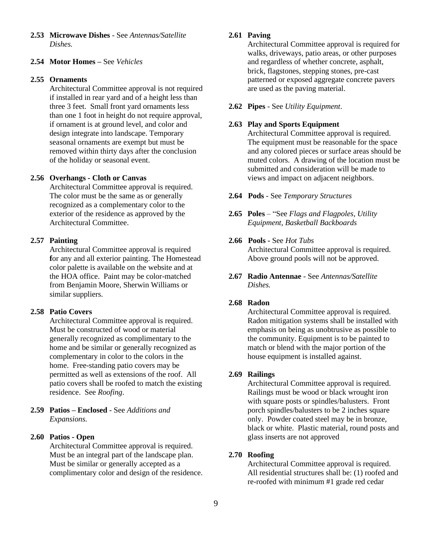**2.53 Microwave Dishes** - See *Antennas/Satellite Dishes.* 

# **2.54 Motor Homes –** See *Vehicles*

#### **2.55 Ornaments**

Architectural Committee approval is not required if installed in rear yard and of a height less than three 3 feet. Small front yard ornaments less than one 1 foot in height do not require approval, if ornament is at ground level, and color and design integrate into landscape. Temporary seasonal ornaments are exempt but must be removed within thirty days after the conclusion of the holiday or seasonal event.

### **2.56 Overhangs - Cloth or Canvas**

Architectural Committee approval is required. The color must be the same as or generally recognized as a complementary color to the exterior of the residence as approved by the Architectural Committee.

### **2.57 Painting**

Architectural Committee approval is required **f**or any and all exterior painting. The Homestead color palette is available on the website and at the HOA office. Paint may be color-matched from Benjamin Moore, Sherwin Williams or similar suppliers.

# **2.58 Patio Covers**

Architectural Committee approval is required. Must be constructed of wood or material generally recognized as complimentary to the home and be similar or generally recognized as complementary in color to the colors in the home. Free-standing patio covers may be permitted as well as extensions of the roof. All patio covers shall be roofed to match the existing residence. See *Roofing*.

# **2.59 Patios – Enclosed** - See *Additions and Expansions.*

# **2.60 Patios - Open**

Architectural Committee approval is required. Must be an integral part of the landscape plan. Must be similar or generally accepted as a complimentary color and design of the residence.

# **2.61 Paving**

Architectural Committee approval is required for walks, driveways, patio areas, or other purposes and regardless of whether concrete, asphalt, brick, flagstones, stepping stones, pre-cast patterned or exposed aggregate concrete pavers are used as the paving material.

**2.62 Pipes** - See *Utility Equipment*.

# **2.63 Play and Sports Equipment**

Architectural Committee approval is required. The equipment must be reasonable for the space and any colored pieces or surface areas should be muted colors. A drawing of the location must be submitted and consideration will be made to views and impact on adjacent neighbors.

- **2.64 Pods** See *Temporary Structures*
- **2.65 Poles** "See *Flags and Flagpoles, Utility Equipment, Basketball Backboards*
- **2.66 Pools -** See *Hot Tubs* Architectural Committee approval is required. Above ground pools will not be approved.
- **2.67 Radio Antennae** See *Antennas/Satellite Dishes.*

# **2.68 Radon**

Architectural Committee approval is required. Radon mitigation systems shall be installed with emphasis on being as unobtrusive as possible to the community. Equipment is to be painted to match or blend with the major portion of the house equipment is installed against.

### **2.69 Railings**

Architectural Committee approval is required. Railings must be wood or black wrought iron with square posts or spindles/balusters. Front porch spindles/balusters to be 2 inches square only. Powder coated steel may be in bronze, black or white. Plastic material, round posts and glass inserts are not approved

### **2.70 Roofing**

Architectural Committee approval is required. All residential structures shall be: (1) roofed and re-roofed with minimum #1 grade red cedar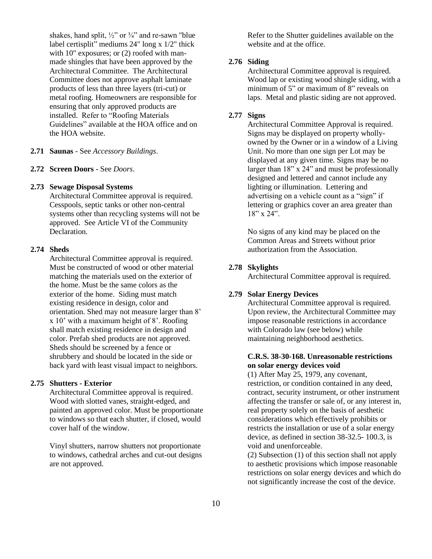shakes, hand split,  $\frac{1}{2}$ " or  $\frac{3}{4}$ " and re-sawn "blue" label certisplit" mediums 24" long x 1/2" thick with 10" exposures; or  $(2)$  roofed with manmade shingles that have been approved by the Architectural Committee. The Architectural Committee does not approve asphalt laminate products of less than three layers (tri-cut) or metal roofing. Homeowners are responsible for ensuring that only approved products are installed. Refer to "Roofing Materials Guidelines" available at the HOA office and on the HOA website.

### **2.71 Saunas** - See *Accessory Buildings*.

### **2.72 Screen Doors** - See *Doors*.

### **2.73 Sewage Disposal Systems**

Architectural Committee approval is required. Cesspools, septic tanks or other non-central systems other than recycling systems will not be approved. See Article VI of the Community **Declaration** 

### **2.74 Sheds**

Architectural Committee approval is required. Must be constructed of wood or other material matching the materials used on the exterior of the home. Must be the same colors as the exterior of the home. Siding must match existing residence in design, color and orientation. Shed may not measure larger than 8' x 10' with a maximum height of 8'. Roofing shall match existing residence in design and color. Prefab shed products are not approved. Sheds should be screened by a fence or shrubbery and should be located in the side or back yard with least visual impact to neighbors.

### **2.75 Shutters - Exterior**

Architectural Committee approval is required. Wood with slotted vanes, straight-edged, and painted an approved color. Must be proportionate to windows so that each shutter, if closed, would cover half of the window.

Vinyl shutters, narrow shutters not proportionate to windows, cathedral arches and cut-out designs are not approved.

Refer to the Shutter guidelines available on the website and at the office.

# **2.76 Siding**

Architectural Committee approval is required. Wood lap or existing wood shingle siding, with a minimum of 5" or maximum of 8" reveals on laps. Metal and plastic siding are not approved.

### **2.77 Signs**

Architectural Committee Approval is required. Signs may be displayed on property whollyowned by the Owner or in a window of a Living Unit. No more than one sign per Lot may be displayed at any given time. Signs may be no larger than  $18$ " x  $24$ " and must be professionally designed and lettered and cannot include any lighting or illumination. Lettering and advertising on a vehicle count as a "sign" if lettering or graphics cover an area greater than 18" x 24".

No signs of any kind may be placed on the Common Areas and Streets without prior authorization from the Association.

### **2.78 Skylights**

Architectural Committee approval is required.

### **2.79 Solar Energy Devices**

Architectural Committee approval is required. Upon review, the Architectural Committee may impose reasonable restrictions in accordance with Colorado law (see below) while maintaining neighborhood aesthetics.

# **C.R.S. 38-30-168. Unreasonable restrictions on solar energy devices void**

(1) After May 25, 1979, any covenant, restriction, or condition contained in any deed, contract, security instrument, or other instrument affecting the transfer or sale of, or any interest in, real property solely on the basis of aesthetic considerations which effectively prohibits or restricts the installation or use of a solar energy device, as defined in section 38-32.5- 100.3, is void and unenforceable.

(2) Subsection (1) of this section shall not apply to aesthetic provisions which impose reasonable restrictions on solar energy devices and which do not significantly increase the cost of the device.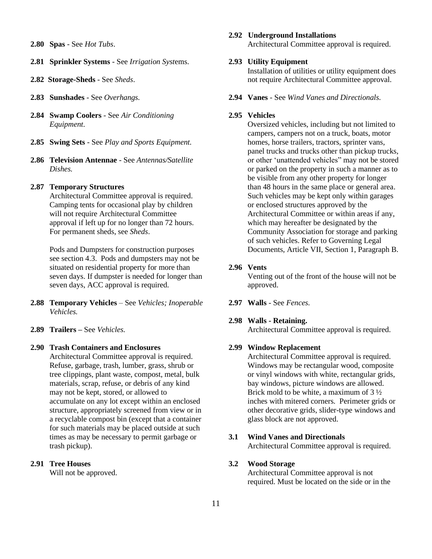- **2.80 Spas** See *Hot Tubs*.
- **2.81 Sprinkler Systems** See *Irrigation Syst*ems.
- **2.82 Storage-Sheds** See *Sheds*.
- **2.83 Sunshades** See *Overhangs.*
- **2.84 Swamp Coolers** See *Air Conditioning Equipment*.
- **2.85 Swing Sets** See *Play and Sports Equipment.*
- **2.86 Television Antennae** See *Antennas/Satellite Dishes.*

#### **2.87 Temporary Structures**

Architectural Committee approval is required. Camping tents for occasional play by children will not require Architectural Committee approval if left up for no longer than 72 hours. For permanent sheds, see *Sheds*.

Pods and Dumpsters for construction purposes see section 4.3. Pods and dumpsters may not be situated on residential property for more than seven days. If dumpster is needed for longer than seven days, ACC approval is required.

- **2.88 Temporary Vehicles** See *Vehicles; Inoperable Vehicles.*
- **2.89 Trailers –** See *Vehicles.*
- **2.90 Trash Containers and Enclosures**

Architectural Committee approval is required. Refuse, garbage, trash, lumber, grass, shrub or tree clippings, plant waste, compost, metal, bulk materials, scrap, refuse, or debris of any kind may not be kept, stored, or allowed to accumulate on any lot except within an enclosed structure, appropriately screened from view or in a recyclable compost bin (except that a container for such materials may be placed outside at such times as may be necessary to permit garbage or trash pickup).

### **2.91 Tree Houses**

Will not be approved.

### **2.92 Underground Installations**

Architectural Committee approval is required.

### **2.93 Utility Equipment**

Installation of utilities or utility equipment does not require Architectural Committee approval.

**2.94 Vanes** - See *Wind Vanes and Directionals.*

#### **2.95 Vehicles**

Oversized vehicles, including but not limited to campers, campers not on a truck, boats, motor homes, horse trailers, tractors, sprinter vans, panel trucks and trucks other than pickup trucks, or other 'unattended vehicles" may not be stored or parked on the property in such a manner as to be visible from any other property for longer than 48 hours in the same place or general area. Such vehicles may be kept only within garages or enclosed structures approved by the Architectural Committee or within areas if any, which may hereafter be designated by the Community Association for storage and parking of such vehicles. Refer to Governing Legal Documents, Article VII, Section 1, Paragraph B.

# **2.96 Vents**

Venting out of the front of the house will not be approved.

**2.97 Walls** - See *Fences.*

### **2.98 Walls - Retaining.**

Architectural Committee approval is required.

### **2.99 Window Replacement**

Architectural Committee approval is required. Windows may be rectangular wood, composite or vinyl windows with white, rectangular grids, bay windows, picture windows are allowed. Brick mold to be white, a maximum of 3 ½ inches with mitered corners. Perimeter grids or other decorative grids, slider-type windows and glass block are not approved.

### **3.1 Wind Vanes and Directionals**

Architectural Committee approval is required.

### **3.2 Wood Storage**

Architectural Committee approval is not required. Must be located on the side or in the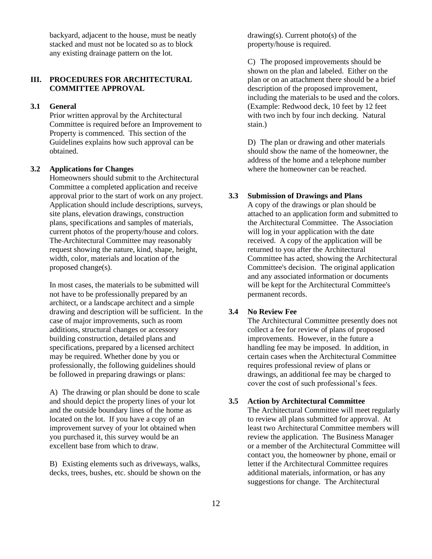backyard, adjacent to the house, must be neatly stacked and must not be located so as to block any existing drainage pattern on the lot.

# **III. PROCEDURES FOR ARCHITECTURAL COMMITTEE APPROVAL**

# **3.1 General**

Prior written approval by the Architectural Committee is required before an Improvement to Property is commenced. This section of the Guidelines explains how such approval can be obtained.

### **3.2 Applications for Changes**

Homeowners should submit to the Architectural Committee a completed application and receive approval prior to the start of work on any project. Application should include descriptions, surveys, site plans, elevation drawings, construction plans, specifications and samples of materials, current photos of the property/house and colors. The Architectural Committee may reasonably request showing the nature, kind, shape, height, width, color, materials and location of the proposed change(s).

In most cases, the materials to be submitted will not have to be professionally prepared by an architect, or a landscape architect and a simple drawing and description will be sufficient. In the case of major improvements, such as room additions, structural changes or accessory building construction, detailed plans and specifications, prepared by a licensed architect may be required. Whether done by you or professionally, the following guidelines should be followed in preparing drawings or plans:

A) The drawing or plan should be done to scale and should depict the property lines of your lot and the outside boundary lines of the home as located on the lot. If you have a copy of an improvement survey of your lot obtained when you purchased it, this survey would be an excellent base from which to draw.

B) Existing elements such as driveways, walks, decks, trees, bushes, etc. should be shown on the  $drawing(s)$ . Current photo $(s)$  of the property/house is required.

C) The proposed improvements should be shown on the plan and labeled. Either on the plan or on an attachment there should be a brief description of the proposed improvement, including the materials to be used and the colors. (Example: Redwood deck, 10 feet by 12 feet with two inch by four inch decking. Natural stain.)

D) The plan or drawing and other materials should show the name of the homeowner, the address of the home and a telephone number where the homeowner can be reached.

### **3.3 Submission of Drawings and Plans**

A copy of the drawings or plan should be attached to an application form and submitted to the Architectural Committee. The Association will log in your application with the date received. A copy of the application will be returned to you after the Architectural Committee has acted, showing the Architectural Committee's decision. The original application and any associated information or documents will be kept for the Architectural Committee's permanent records.

# **3.4 No Review Fee**

The Architectural Committee presently does not collect a fee for review of plans of proposed improvements. However, in the future a handling fee may be imposed. In addition, in certain cases when the Architectural Committee requires professional review of plans or drawings, an additional fee may be charged to cover the cost of such professional's fees.

# **3.5 Action by Architectural Committee**

The Architectural Committee will meet regularly to review all plans submitted for approval. At least two Architectural Committee members will review the application. The Business Manager or a member of the Architectural Committee will contact you, the homeowner by phone, email or letter if the Architectural Committee requires additional materials, information, or has any suggestions for change. The Architectural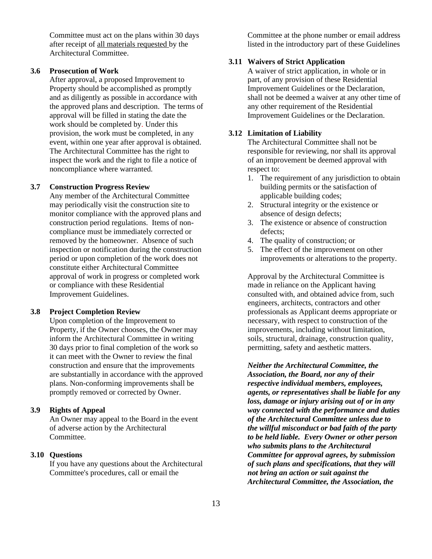Committee must act on the plans within 30 days after receipt of all materials requested by the Architectural Committee.

### **3.6 Prosecution of Work**

After approval, a proposed Improvement to Property should be accomplished as promptly and as diligently as possible in accordance with the approved plans and description. The terms of approval will be filled in stating the date the work should be completed by. Under this provision, the work must be completed, in any event, within one year after approval is obtained. The Architectural Committee has the right to inspect the work and the right to file a notice of noncompliance where warranted.

### **3.7 Construction Progress Review**

Any member of the Architectural Committee may periodically visit the construction site to monitor compliance with the approved plans and construction period regulations. Items of noncompliance must be immediately corrected or removed by the homeowner. Absence of such inspection or notification during the construction period or upon completion of the work does not constitute either Architectural Committee approval of work in progress or completed work or compliance with these Residential Improvement Guidelines.

### **3.8 Project Completion Review**

Upon completion of the Improvement to Property, if the Owner chooses, the Owner may inform the Architectural Committee in writing 30 days prior to final completion of the work so it can meet with the Owner to review the final construction and ensure that the improvements are substantially in accordance with the approved plans. Non-conforming improvements shall be promptly removed or corrected by Owner.

# **3.9 Rights of Appeal**

An Owner may appeal to the Board in the event of adverse action by the Architectural Committee.

### **3.10 Questions**

If you have any questions about the Architectural Committee's procedures, call or email the

Committee at the phone number or email address listed in the introductory part of these Guidelines

# **3.11 Waivers of Strict Application**

A waiver of strict application, in whole or in part, of any provision of these Residential Improvement Guidelines or the Declaration, shall not be deemed a waiver at any other time of any other requirement of the Residential Improvement Guidelines or the Declaration.

# **3.12 Limitation of Liability**

The Architectural Committee shall not be responsible for reviewing, nor shall its approval of an improvement be deemed approval with respect to:

- 1. The requirement of any jurisdiction to obtain building permits or the satisfaction of applicable building codes;
- 2. Structural integrity or the existence or absence of design defects;
- 3. The existence or absence of construction defects;
- 4. The quality of construction; or
- 5. The effect of the improvement on other improvements or alterations to the property.

Approval by the Architectural Committee is made in reliance on the Applicant having consulted with, and obtained advice from, such engineers, architects, contractors and other professionals as Applicant deems appropriate or necessary, with respect to construction of the improvements, including without limitation, soils, structural, drainage, construction quality, permitting, safety and aesthetic matters.

*Neither the Architectural Committee, the Association, the Board, nor any of their respective individual members, employees, agents, or representatives shall be liable for any loss, damage or injury arising out of or in any way connected with the performance and duties of the Architectural Committee unless due to the willful misconduct or bad faith of the party to be held liable. Every Owner or other person who submits plans to the Architectural Committee for approval agrees, by submission of such plans and specifications, that they will not bring an action or suit against the Architectural Committee, the Association, the*